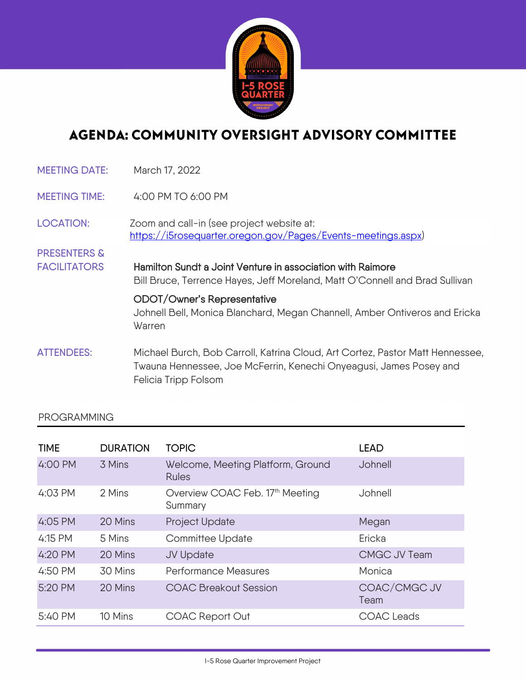

## AGENDA: COMMUNITY OVERSIGHT ADVISORY COMMITTEE

| <b>MEETING DATE:</b>    | March 17, 2022                                                                                                                                                              |  |
|-------------------------|-----------------------------------------------------------------------------------------------------------------------------------------------------------------------------|--|
| <b>MEETING TIME:</b>    | 4:00 PM TO 6:00 PM                                                                                                                                                          |  |
| <b>LOCATION:</b>        | Zoom and call-in (see project website at:<br>https://i5rosequarter.oregon.gov/Pages/Events-meetings.aspx)                                                                   |  |
| <b>PRESENTERS &amp;</b> |                                                                                                                                                                             |  |
| <b>FACILITATORS</b>     | Hamilton Sundt a Joint Venture in association with Raimore<br>Bill Bruce, Terrence Hayes, Jeff Moreland, Matt O'Connell and Brad Sullivan                                   |  |
|                         | ODOT/Owner's Representative<br>Johnell Bell, Monica Blanchard, Megan Channell, Amber Ontiveros and Ericka<br>Warren                                                         |  |
| <b>ATTENDEES:</b>       | Michael Burch, Bob Carroll, Katrina Cloud, Art Cortez, Pastor Matt Hennessee,<br>Twauna Hennessee, Joe McFerrin, Kenechi Onyeagusi, James Posey and<br>Felicia Tripp Folsom |  |

## PROGRAMMING

| <b>TIME</b> | <b>DURATION</b> | <b>TOPIC</b>                                           | <b>LEAD</b>          |
|-------------|-----------------|--------------------------------------------------------|----------------------|
| 4:00 PM     | 3 Mins          | Welcome, Meeting Platform, Ground<br><b>Rules</b>      | Johnell              |
| 4:03 PM     | 2 Mins          | Overview COAC Feb. 17 <sup>th</sup> Meeting<br>Summary | Johnell              |
| 4:05 PM     | 20 Mins         | Project Update                                         | Megan                |
| 4:15 PM     | 5 Mins          | <b>Committee Update</b>                                | Ericka               |
| 4:20 PM     | 20 Mins         | JV Update                                              | CMGC JV Team         |
| 4:50 PM     | 30 Mins         | <b>Performance Measures</b>                            | Monica               |
| 5:20 PM     | 20 Mins         | <b>COAC Breakout Session</b>                           | COAC/CMGC JV<br>Team |
| 5:40 PM     | 10 Mins         | <b>COAC Report Out</b>                                 | <b>COAC</b> Leads    |